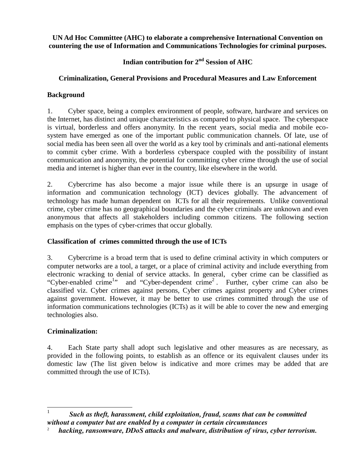**UN Ad Hoc Committee (AHC) to elaborate a comprehensive International Convention on countering the use of Information and Communications Technologies for criminal purposes.** 

# **Indian contribution for 2nd Session of AHC**

# **Criminalization, General Provisions and Procedural Measures and Law Enforcement**

# **Background**

1. Cyber space, being a complex environment of people, software, hardware and services on the Internet, has distinct and unique characteristics as compared to physical space. The cyberspace is virtual, borderless and offers anonymity. In the recent years, social media and mobile ecosystem have emerged as one of the important public communication channels. Of late, use of social media has been seen all over the world as a key tool by criminals and anti-national elements to commit cyber crime. With a borderless cyberspace coupled with the possibility of instant communication and anonymity, the potential for committing cyber crime through the use of social media and internet is higher than ever in the country, like elsewhere in the world.

2. Cybercrime has also become a major issue while there is an upsurge in usage of information and communication technology (ICT) devices globally. The advancement of technology has made human dependent on ICTs for all their requirements. Unlike conventional crime, cyber crime has no geographical boundaries and the cyber criminals are unknown and even anonymous that affects all stakeholders including common citizens. The following section emphasis on the types of cyber-crimes that occur globally.

# **Classification of crimes committed through the use of ICTs**

3. Cybercrime is a broad term that is used to define criminal activity in which computers or computer networks are a tool, a target, or a place of criminal activity and include everything from electronic wracking to denial of service attacks. In general, cyber crime can be classified as "Cyber-enabled crime<sup>1</sup>" and "Cyber-dependent crime<sup>2</sup>. Further, cyber crime can also be classified viz. Cyber crimes against persons, Cyber crimes against property and Cyber crimes against government. However, it may be better to use crimes committed through the use of information communications technologies (ICTs) as it will be able to cover the new and emerging technologies also.

# **Criminalization:**

l

4. Each State party shall adopt such legislative and other measures as are necessary, as provided in the following points, to establish as an offence or its equivalent clauses under its domestic law (The list given below is indicative and more crimes may be added that are committed through the use of ICTs).

<sup>1</sup>*Such as theft, harassment, child exploitation, fraud, scams that can be committed without a computer but are enabled by a computer in certain circumstances*

<sup>2</sup> *hacking, ransomware, DDoS attacks and malware, distribution of virus, cyber terrorism.*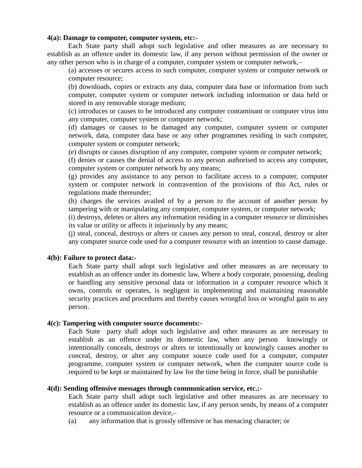#### **4(a): Damage to computer, computer system, etc:-**

 Each State party shall adopt such legislative and other measures as are necessary to establish as an offence under its domestic law, if any person without permission of the owner or any other person who is in charge of a computer, computer system or computer network,–

(a) accesses or secures access to such computer, computer system or computer network or computer resource;

(b) downloads, copies or extracts any data, computer data base or information from such computer, computer system or computer network including information or data held or stored in any removable storage medium;

(c) introduces or causes to be introduced any computer contaminant or computer virus into any computer, computer system or computer network;

(d) damages or causes to be damaged any computer, computer system or computer network, data, computer data base or any other programmes residing in such computer, computer system or computer network;

(e) disrupts or causes disruption of any computer, computer system or computer network;

(f) denies or causes the denial of access to any person authorised to access any computer, computer system or computer network by any means;

(g) provides any assistance to any person to facilitate access to a computer, computer system or computer network in contravention of the provisions of this Act, rules or regulations made thereunder;

(h) charges the services availed of by a person to the account of another person by tampering with or manipulating any computer, computer system, or computer network;

(i) destroys, deletes or alters any information residing in a computer resource or diminishes its value or utility or affects it injuriously by any means;

(j) steal, conceal, destroys or alters or causes any person to steal, conceal, destroy or alter any computer source code used for a computer resource with an intention to cause damage.

### **4(b): Failure to protect data:-**

Each State party shall adopt such legislative and other measures as are necessary to establish as an offence under its domestic law, Where a body corporate, possessing, dealing or handling any sensitive personal data or information in a computer resource which it owns, controls or operates, is negligent in implementing and maintaining reasonable security practices and procedures and thereby causes wrongful loss or wrongful gain to any person.

### **4(c): Tampering with computer source documents:-**

Each State party shall adopt such legislative and other measures as are necessary to establish as an offence under its domestic law, when any person knowingly or intentionally conceals, destroys or alters or intentionally or knowingly causes another to conceal, destroy, or alter any computer source code used for a computer, computer programme, computer system or computer network, when the computer source code is required to be kept or maintained by law for the time being in force, shall be punishable

### **4(d): Sending offensive messages through communication service, etc.:-**

Each State party shall adopt such legislative and other measures as are necessary to establish as an offence under its domestic law, if any person sends, by means of a computer resource or a communication device,–

(a) any information that is grossly offensive or has menacing character; or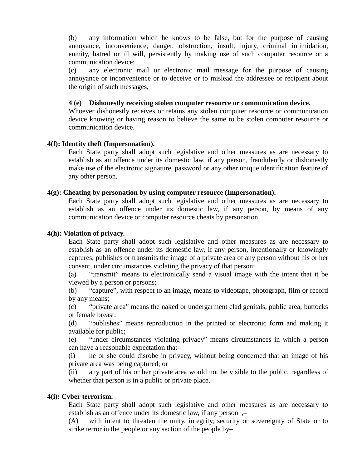(b) any information which he knows to be false, but for the purpose of causing annoyance, inconvenience, danger, obstruction, insult, injury, criminal intimidation, enmity, hatred or ill will, persistently by making use of such computer resource or a communication device;

(c) any electronic mail or electronic mail message for the purpose of causing annoyance or inconvenience or to deceive or to mislead the addressee or recipient about the origin of such messages,

#### **4 (e) Dishonestly receiving stolen computer resource or communication device.**

Whoever dishonestly receives or retains any stolen computer resource or communication device knowing or having reason to believe the same to be stolen computer resource or communication device.

#### **4(f): Identity theft (Impersonation).**

Each State party shall adopt such legislative and other measures as are necessary to establish as an offence under its domestic law, if any person, fraudulently or dishonestly make use of the electronic signature, password or any other unique identification feature of any other person.

#### **4(g): Cheating by personation by using computer resource (Impersonation).**

Each State party shall adopt such legislative and other measures as are necessary to establish as an offence under its domestic law, if any person, by means of any communication device or computer resource cheats by personation.

#### **4(h): Violation of privacy.**

Each State party shall adopt such legislative and other measures as are necessary to establish as an offence under its domestic law, if any person, intentionally or knowingly captures, publishes or transmits the image of a private area of any person without his or her consent, under circumstances violating the privacy of that person:

(a) "transmit" means to electronically send a visual image with the intent that it be viewed by a person or persons;

(b) "capture", with respect to an image, means to videotape, photograph, film or record by any means;

(c) "private area" means the naked or undergarment clad genitals, public area, buttocks or female breast:

(d) "publishes" means reproduction in the printed or electronic form and making it available for public;

(e) "under circumstances violating privacy" means circumstances in which a person can have a reasonable expectation that–

(i) he or she could disrobe in privacy, without being concerned that an image of his private area was being captured; or

(ii) any part of his or her private area would not be visible to the public, regardless of whether that person is in a public or private place.

#### **4(i): Cyber terrorism.**

Each State party shall adopt such legislative and other measures as are necessary to establish as an offence under its domestic law, if any person ,–

(A) with intent to threaten the unity, integrity, security or sovereignty of State or to strike terror in the people or any section of the people by–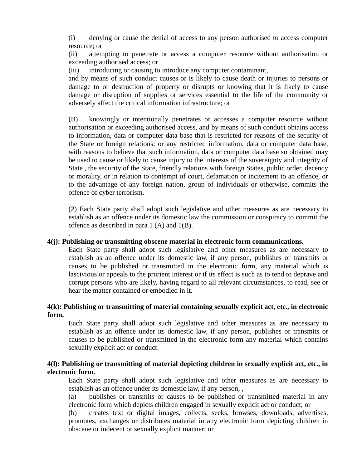(i) denying or cause the denial of access to any person authorised to access computer resource; or

(ii) attempting to penetrate or access a computer resource without authorisation or exceeding authorised access; or

(iii) introducing or causing to introduce any computer contaminant,

and by means of such conduct causes or is likely to cause death or injuries to persons or damage to or destruction of property or disrupts or knowing that it is likely to cause damage or disruption of supplies or services essential to the life of the community or adversely affect the critical information infrastructure; or

(B) knowingly or intentionally penetrates or accesses a computer resource without authorisation or exceeding authorised access, and by means of such conduct obtains access to information, data or computer data base that is restricted for reasons of the security of the State or foreign relations; or any restricted information, data or computer data base, with reasons to believe that such information, data or computer data base so obtained may be used to cause or likely to cause injury to the interests of the sovereignty and integrity of State , the security of the State, friendly relations with foreign States, public order, decency or morality, or in relation to contempt of court, defamation or incitement to an offence, or to the advantage of any foreign nation, group of individuals or otherwise, commits the offence of cyber terrorism.

(2) Each State party shall adopt such legislative and other measures as are necessary to establish as an offence under its domestic law the commission or conspiracy to commit the offence as described in para  $1(A)$  and  $1(B)$ .

# **4(j): Publishing or transmitting obscene material in electronic form communications.**

.

Each State party shall adopt such legislative and other measures as are necessary to establish as an offence under its domestic law, if any person, publishes or transmits or causes to be published or transmitted in the electronic form, any material which is lascivious or appeals to the prurient interest or if its effect is such as to tend to deprave and corrupt persons who are likely, having regard to all relevant circumstances, to read, see or hear the matter contained or embodied in it.

# **4(k): Publishing or transmitting of material containing sexually explicit act, etc., in electronic form.**

Each State party shall adopt such legislative and other measures as are necessary to establish as an offence under its domestic law, if any person, publishes or transmits or causes to be published or transmitted in the electronic form any material which contains sexually explicit act or conduct.

# **4(l): Publishing or transmitting of material depicting children in sexually explicit act, etc., in electronic form.**

Each State party shall adopt such legislative and other measures as are necessary to establish as an offence under its domestic law, if any person, ,–

(a) publishes or transmits or causes to be published or transmitted material in any electronic form which depicts children engaged in sexually explicit act or conduct; or

(b) creates text or digital images, collects, seeks, browses, downloads, advertises, promotes, exchanges or distributes material in any electronic form depicting children in obscene or indecent or sexually explicit manner; or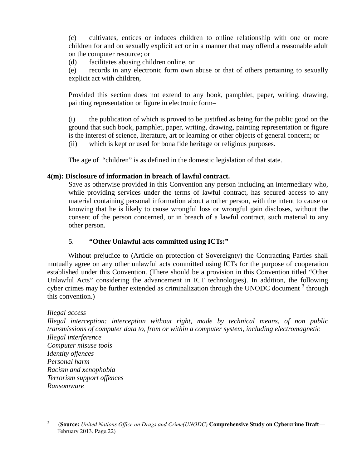(c) cultivates, entices or induces children to online relationship with one or more children for and on sexually explicit act or in a manner that may offend a reasonable adult on the computer resource; or

(d) facilitates abusing children online, or

(e) records in any electronic form own abuse or that of others pertaining to sexually explicit act with children,

Provided this section does not extend to any book, pamphlet, paper, writing, drawing, painting representation or figure in electronic form–

(i) the publication of which is proved to be justified as being for the public good on the ground that such book, pamphlet, paper, writing, drawing, painting representation or figure is the interest of science, literature, art or learning or other objects of general concern; or (ii) which is kept or used for bona fide heritage or religious purposes.

The age of "children" is as defined in the domestic legislation of that state.

## **4(m): Disclosure of information in breach of lawful contract.**

Save as otherwise provided in this Convention any person including an intermediary who, while providing services under the terms of lawful contract, has secured access to any material containing personal information about another person, with the intent to cause or knowing that he is likely to cause wrongful loss or wrongful gain discloses, without the consent of the person concerned, or in breach of a lawful contract, such material to any other person.

# 5. **"Other Unlawful acts committed using ICTs:"**

 Without prejudice to (Article on protection of Sovereignty) the Contracting Parties shall mutually agree on any other unlawful acts committed using ICTs for the purpose of cooperation established under this Convention. (There should be a provision in this Convention titled "Other Unlawful Acts" considering the advancement in ICT technologies). In addition, the following cyber crimes may be further extended as criminalization through the UNODC document  $3$  through this convention.)

### *Illegal access*

*Illegal interception: interception without right, made by technical means, of non public transmissions of computer data to, from or within a computer system, including electromagnetic Illegal interference Computer misuse tools Identity offences Personal harm Racism and xenophobia Terrorism support offences Ransomware*

 $\overline{3}$ <sup>3</sup>(**Source:** *United Nations Office on Drugs and Crime(UNODC).***Comprehensive Study on Cybercrime Draft**— February 2013. Page.22)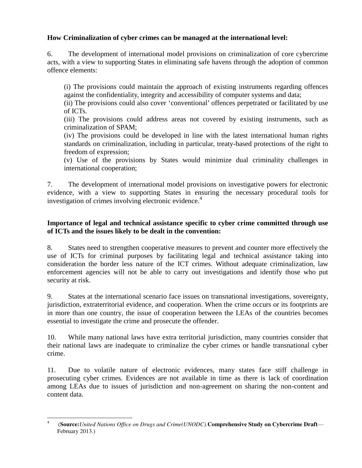# **How Criminalization of cyber crimes can be managed at the international level:**

6. The development of international model provisions on criminalization of core cybercrime acts, with a view to supporting States in eliminating safe havens through the adoption of common offence elements:

(i) The provisions could maintain the approach of existing instruments regarding offences against the confidentiality, integrity and accessibility of computer systems and data;

(ii) The provisions could also cover 'conventional' offences perpetrated or facilitated by use of ICTs.

(iii) The provisions could address areas not covered by existing instruments, such as criminalization of SPAM;

(iv) The provisions could be developed in line with the latest international human rights standards on criminalization, including in particular, treaty-based protections of the right to freedom of expression;

(v) Use of the provisions by States would minimize dual criminality challenges in international cooperation;

7. The development of international model provisions on investigative powers for electronic evidence, with a view to supporting States in ensuring the necessary procedural tools for investigation of crimes involving electronic evidence.<sup>4</sup>

# **Importance of legal and technical assistance specific to cyber crime committed through use of ICTs and the issues likely to be dealt in the convention:**

8. States need to strengthen cooperative measures to prevent and counter more effectively the use of ICTs for criminal purposes by facilitating legal and technical assistance taking into consideration the border less nature of the ICT crimes. Without adequate criminalization, law enforcement agencies will not be able to carry out investigations and identify those who put security at risk.

9. States at the international scenario face issues on transnational investigations, sovereignty, jurisdiction, extraterritorial evidence, and cooperation. When the crime occurs or its footprints are in more than one country, the issue of cooperation between the LEAs of the countries becomes essential to investigate the crime and prosecute the offender.

10. While many national laws have extra territorial jurisdiction, many countries consider that their national laws are inadequate to criminalize the cyber crimes or handle transnational cyber crime.

11. Due to volatile nature of electronic evidences, many states face stiff challenge in prosecuting cyber crimes. Evidences are not available in time as there is lack of coordination among LEAs due to issues of jurisdiction and non-agreement on sharing the non-content and content data.

 $\overline{4}$ <sup>4</sup>(**Source:***United Nations Office on Drugs and Crime(UNODC).***Comprehensive Study on Cybercrime Draft**— February 2013.)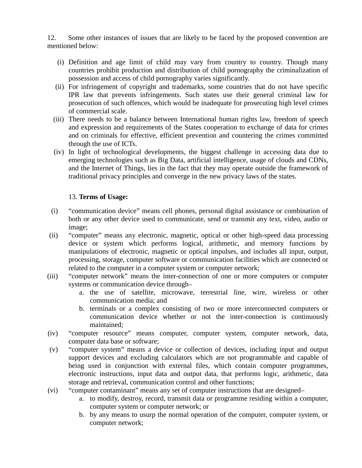12. Some other instances of issues that are likely to be faced by the proposed convention are mentioned below:

- (i) Definition and age limit of child may vary from country to country. Though many countries prohibit production and distribution of child pornography the criminalization of possession and access of child pornography varies significantly.
- (ii) For infringement of copyright and trademarks, some countries that do not have specific IPR law that prevents infringements. Such states use their general criminal law for prosecution of such offences, which would be inadequate for prosecuting high level crimes of commercial scale.
- (iii) There needs to be a balance between International human rights law, freedom of speech and expression and requirements of the States cooperation to exchange of data for crimes and on criminals for effective, efficient prevention and countering the crimes committed through the use of ICTs.
- (iv) In light of technological developments, the biggest challenge in accessing data due to emerging technologies such as Big Data, artificial intelligence, usage of clouds and CDNs, and the Internet of Things, lies in the fact that they may operate outside the framework of traditional privacy principles and converge in the new privacy laws of the states.

# 13. **Terms of Usage:**

- (i) "communication device" means cell phones, personal digital assistance or combination of both or any other device used to communicate, send or transmit any text, video, audio or image;
- (ii) "computer" means any electronic, magnetic, optical or other high-speed data processing device or system which performs logical, arithmetic, and memory functions by manipulations of electronic, magnetic or optical impulses, and includes all input, output, processing, storage, computer software or communication facilities which are connected or related to the computer in a computer system or computer network;
- (iii) "computer network" means the inter-connection of one or more computers or computer systems or communication device through–
	- a. the use of satellite, microwave, terrestrial line, wire, wireless or other communication media; and
	- b. terminals or a complex consisting of two or more interconnected computers or communication device whether or not the inter-connection is continuously maintained;
- (iv) "computer resource" means computer, computer system, computer network, data, computer data base or software;
- (v) "computer system" means a device or collection of devices, including input and output support devices and excluding calculators which are not programmable and capable of being used in conjunction with external files, which contain computer programmes, electronic instructions, input data and output data, that performs logic, arithmetic, data storage and retrieval, communication control and other functions;
- (vi) "computer contaminant" means any set of computer instructions that are designed–
	- a. to modify, destroy, record, transmit data or programme residing within a computer, computer system or computer network; or
	- b. by any means to usurp the normal operation of the computer, computer system, or computer network;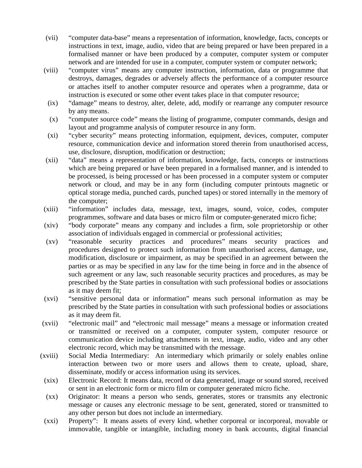- (vii) "computer data-base" means a representation of information, knowledge, facts, concepts or instructions in text, image, audio, video that are being prepared or have been prepared in a formalised manner or have been produced by a computer, computer system or computer network and are intended for use in a computer, computer system or computer network;
- (viii) "computer virus" means any computer instruction, information, data or programme that destroys, damages, degrades or adversely affects the performance of a computer resource or attaches itself to another computer resource and operates when a programme, data or instruction is executed or some other event takes place in that computer resource;
- (ix) "damage" means to destroy, alter, delete, add, modify or rearrange any computer resource by any means.
- (x) "computer source code" means the listing of programme, computer commands, design and layout and programme analysis of computer resource in any form.
- (xi) "cyber security" means protecting information, equipment, devices, computer, computer resource, communication device and information stored therein from unauthorised access, use, disclosure, disruption, modification or destruction;
- (xii) "data" means a representation of information, knowledge, facts, concepts or instructions which are being prepared or have been prepared in a formalised manner, and is intended to be processed, is being processed or has been processed in a computer system or computer network or cloud, and may be in any form (including computer printouts magnetic or optical storage media, punched cards, punched tapes) or stored internally in the memory of the computer;
- (xiii) "information" includes data, message, text, images, sound, voice, codes, computer programmes, software and data bases or micro film or computer-generated micro fiche;
- (xiv) "body corporate" means any company and includes a firm, sole proprietorship or other association of individuals engaged in commercial or professional activities;
- (xv) "reasonable security practices and procedures" means security practices and procedures designed to protect such information from unauthorised access, damage, use, modification, disclosure or impairment, as may be specified in an agreement between the parties or as may be specified in any law for the time being in force and in the absence of such agreement or any law, such reasonable security practices and procedures, as may be prescribed by the State parties in consultation with such professional bodies or associations as it may deem fit;
- (xvi) "sensitive personal data or information" means such personal information as may be prescribed by the State parties in consultation with such professional bodies or associations as it may deem fit.
- (xvii) "electronic mail" and "electronic mail message" means a message or information created or transmitted or received on a computer, computer system, computer resource or communication device including attachments in text, image, audio, video and any other electronic record, which may be transmitted with the message.
- (xviii) Social Media Intermediary: An intermediary which primarily or solely enables online interaction between two or more users and allows them to create, upload, share, disseminate, modify or access information using its services.
- (xix) Electronic Record: It means data, record or data generated, image or sound stored, received or sent in an electronic form or micro film or computer generated micro fiche.
- (xx) Originator: It means a person who sends, generates, stores or transmits any electronic message or causes any electronic message to be sent, generated, stored or transmitted to any other person but does not include an intermediary.
- (xxi) Property": It means assets of every kind, whether corporeal or incorporeal, movable or immovable, tangible or intangible, including money in bank accounts, digital financial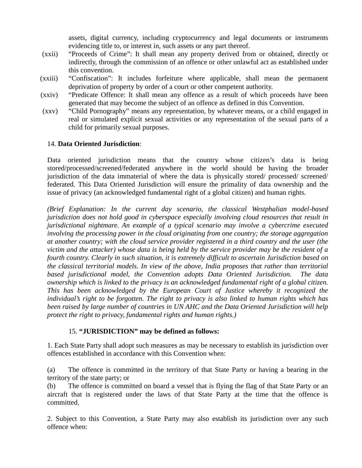assets, digital currency, including cryptocurrency and legal documents or instruments evidencing title to, or interest in, such assets or any part thereof.

- (xxii) "Proceeds of Crime": It shall mean any property derived from or obtained, directly or indirectly, through the commission of an offence or other unlawful act as established under this convention.
- (xxiii) "Confiscation": It includes forfeiture where applicable, shall mean the permanent deprivation of property by order of a court or other competent authority.
- (xxiv) "Predicate Offence: It shall mean any offence as a result of which proceeds have been generated that may become the subject of an offence as defined in this Convention.
- (xxv) "Child Pornography" means any representation, by whatever means, or a child engaged in real or simulated explicit sexual activities or any representation of the sexual parts of a child for primarily sexual purposes.

## 14. **Data Oriented Jurisdiction**:

Data oriented jurisdiction means that the country whose citizen's data is being stored/processed/screened/federated anywhere in the world should be having the broader jurisdiction of the data immaterial of where the data is physically stored/ processed/ screened/ federated. This Data Oriented Jurisdiction will ensure the primality of data ownership and the issue of privacy (an acknowledged fundamental right of a global citizen) and human rights.

*(Brief Explanation: In the current day scenario, the classical Westphalian model-based jurisdiction does not hold good in cyberspace especially involving cloud resources that result in jurisdictional nightmare. An example of a typical scenario may involve a cybercrime executed involving the processing power in the cloud originating from one country; the storage aggregation at another country; with the cloud service provider registered in a third country and the user (the victim and the attacker) whose data is being held by the service provider may be the resident of a fourth country. Clearly in such situation, it is extremely difficult to ascertain Jurisdiction based on the classical territorial models. In view of the above, India proposes that rather than territorial based jurisdictional model, the Convention adopts Data Oriented Jurisdiction. The data ownership which is linked to the privacy is an acknowledged fundamental right of a global citizen. This has been acknowledged by the European Court of Justice whereby it recognized the individual's right to be forgotten. The right to privacy is also linked to human rights which has been raised by large number of countries in UN AHC and the Data Oriented Jurisdiction will help protect the right to privacy, fundamental rights and human rights.)*

### 15. **"JURISDICTION" may be defined as follows:**

1. Each State Party shall adopt such measures as may be necessary to establish its jurisdiction over offences established in accordance with this Convention when:

(a) The offence is committed in the territory of that State Party or having a bearing in the territory of the state party; or

(b) The offence is committed on board a vessel that is flying the flag of that State Party or an aircraft that is registered under the laws of that State Party at the time that the offence is committed.

2. Subject to this Convention, a State Party may also establish its jurisdiction over any such offence when: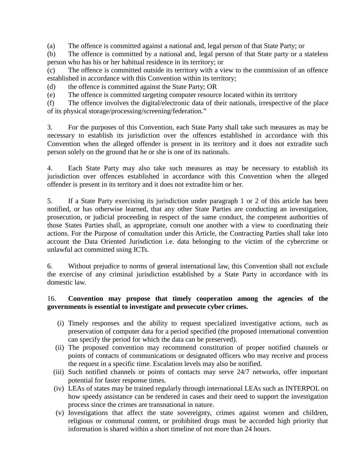(a) The offence is committed against a national and, legal person of that State Party; or

(b) The offence is committed by a national and, legal person of that State party or a stateless person who has his or her habitual residence in its territory; or

(c) The offence is committed outside its territory with a view to the commission of an offence established in accordance with this Convention within its territory;

(d) the offence is committed against the State Party; OR

(e) The offence is committed targeting computer resource located within its territory

(f) The offence involves the digital/electronic data of their nationals, irrespective of the place of its physical storage/processing/screening/federation."

3. For the purposes of this Convention, each State Party shall take such measures as may be necessary to establish its jurisdiction over the offences established in accordance with this Convention when the alleged offender is present in its territory and it does not extradite such person solely on the ground that he or she is one of its nationals.

4. Each State Party may also take such measures as may be necessary to establish its jurisdiction over offences established in accordance with this Convention when the alleged offender is present in its territory and it does not extradite him or her.

5. If a State Party exercising its jurisdiction under paragraph 1 or 2 of this article has been notified, or has otherwise learned, that any other State Parties are conducting an investigation, prosecution, or judicial proceeding in respect of the same conduct, the competent authorities of those States Parties shall, as appropriate, consult one another with a view to coordinating their actions. For the Purpose of consultation under this Article, the Contracting Parties shall take into account the Data Oriented Jurisdiction i.e. data belonging to the victim of the cybercrime or unlawful act committed using ICTs.

6. Without prejudice to norms of general international law, this Convention shall not exclude the exercise of any criminal jurisdiction established by a State Party in accordance with its domestic law.

# 16. **Convention may propose that timely cooperation among the agencies of the governments is essential to investigate and prosecute cyber crimes.**

- (i) Timely responses and the ability to request specialized investigative actions, such as preservation of computer data for a period specified (the proposed international convention can specify the period for which the data can be preserved).
- (ii) The proposed convention may recommend constitution of proper notified channels or points of contacts of communications or designated officers who may receive and process the request in a specific time. Escalation levels may also be notified.
- (iii) Such notified channels or points of contacts may serve 24/7 networks, offer important potential for faster response times.
- (iv) LEAs of states may be trained regularly through international LEAs such as INTERPOL on how speedy assistance can be rendered in cases and their need to support the investigation process since the crimes are transnational in nature.
- (v) Investigations that affect the state sovereignty, crimes against women and children, religious or communal content, or prohibited drugs must be accorded high priority that information is shared within a short timeline of not more than 24 hours.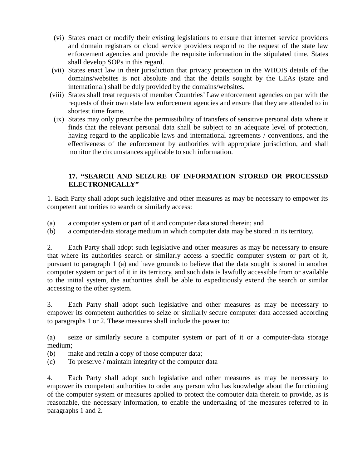- (vi) States enact or modify their existing legislations to ensure that internet service providers and domain registrars or cloud service providers respond to the request of the state law enforcement agencies and provide the requisite information in the stipulated time. States shall develop SOPs in this regard.
- (vii) States enact law in their jurisdiction that privacy protection in the WHOIS details of the domains/websites is not absolute and that the details sought by the LEAs (state and international) shall be duly provided by the domains/websites.
- (viii) States shall treat requests of member Countries' Law enforcement agencies on par with the requests of their own state law enforcement agencies and ensure that they are attended to in shortest time frame.
- (ix) States may only prescribe the permissibility of transfers of sensitive personal data where it finds that the relevant personal data shall be subject to an adequate level of protection, having regard to the applicable laws and international agreements / conventions, and the effectiveness of the enforcement by authorities with appropriate jurisdiction, and shall monitor the circumstances applicable to such information.

# **17. "SEARCH AND SEIZURE OF INFORMATION STORED OR PROCESSED ELECTRONICALLY"**

1. Each Party shall adopt such legislative and other measures as may be necessary to empower its competent authorities to search or similarly access:

- (a) a computer system or part of it and computer data stored therein; and
- (b) a computer-data storage medium in which computer data may be stored in its territory.

2. Each Party shall adopt such legislative and other measures as may be necessary to ensure that where its authorities search or similarly access a specific computer system or part of it, pursuant to paragraph 1 (a) and have grounds to believe that the data sought is stored in another computer system or part of it in its territory, and such data is lawfully accessible from or available to the initial system, the authorities shall be able to expeditiously extend the search or similar accessing to the other system.

3. Each Party shall adopt such legislative and other measures as may be necessary to empower its competent authorities to seize or similarly secure computer data accessed according to paragraphs 1 or 2. These measures shall include the power to:

(a) seize or similarly secure a computer system or part of it or a computer-data storage medium;

- (b) make and retain a copy of those computer data;
- (c)To preserve / maintain integrity of the computer data

4. Each Party shall adopt such legislative and other measures as may be necessary to empower its competent authorities to order any person who has knowledge about the functioning of the computer system or measures applied to protect the computer data therein to provide, as is reasonable, the necessary information, to enable the undertaking of the measures referred to in paragraphs 1 and 2.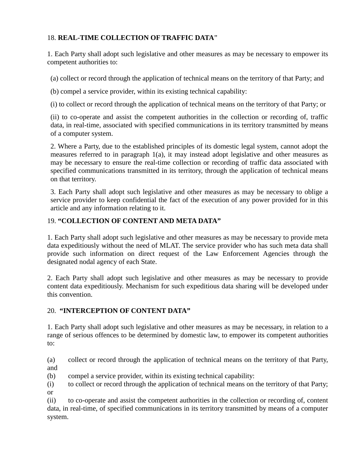# 18. **REAL-TIME COLLECTION OF TRAFFIC DATA**"

1. Each Party shall adopt such legislative and other measures as may be necessary to empower its competent authorities to:

(a) collect or record through the application of technical means on the territory of that Party; and

(b) compel a service provider, within its existing technical capability:

(i) to collect or record through the application of technical means on the territory of that Party; or

(ii) to co-operate and assist the competent authorities in the collection or recording of, traffic data, in real-time, associated with specified communications in its territory transmitted by means of a computer system.

2. Where a Party, due to the established principles of its domestic legal system, cannot adopt the measures referred to in paragraph 1(a), it may instead adopt legislative and other measures as may be necessary to ensure the real-time collection or recording of traffic data associated with specified communications transmitted in its territory, through the application of technical means on that territory.

3. Each Party shall adopt such legislative and other measures as may be necessary to oblige a service provider to keep confidential the fact of the execution of any power provided for in this article and any information relating to it.

# 19. **"COLLECTION OF CONTENT AND META DATA"**

1. Each Party shall adopt such legislative and other measures as may be necessary to provide meta data expeditiously without the need of MLAT. The service provider who has such meta data shall provide such information on direct request of the Law Enforcement Agencies through the designated nodal agency of each State.

2. Each Party shall adopt such legislative and other measures as may be necessary to provide content data expeditiously. Mechanism for such expeditious data sharing will be developed under this convention.

# 20. **"INTERCEPTION OF CONTENT DATA"**

1. Each Party shall adopt such legislative and other measures as may be necessary, in relation to a range of serious offences to be determined by domestic law, to empower its competent authorities to:

(a) collect or record through the application of technical means on the territory of that Party, and

(b) compel a service provider, within its existing technical capability:

(i) to collect or record through the application of technical means on the territory of that Party; or

(ii) to co-operate and assist the competent authorities in the collection or recording of, content data, in real-time, of specified communications in its territory transmitted by means of a computer system.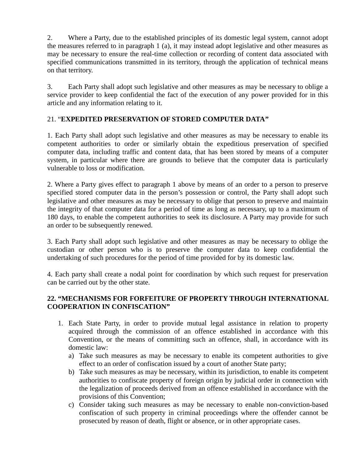2. Where a Party, due to the established principles of its domestic legal system, cannot adopt the measures referred to in paragraph 1 (a), it may instead adopt legislative and other measures as may be necessary to ensure the real-time collection or recording of content data associated with specified communications transmitted in its territory, through the application of technical means on that territory.

3. Each Party shall adopt such legislative and other measures as may be necessary to oblige a service provider to keep confidential the fact of the execution of any power provided for in this article and any information relating to it.

# 21. "**EXPEDITED PRESERVATION OF STORED COMPUTER DATA"**

1. Each Party shall adopt such legislative and other measures as may be necessary to enable its competent authorities to order or similarly obtain the expeditious preservation of specified computer data, including traffic and content data, that has been stored by means of a computer system, in particular where there are grounds to believe that the computer data is particularly vulnerable to loss or modification.

2. Where a Party gives effect to paragraph 1 above by means of an order to a person to preserve specified stored computer data in the person's possession or control, the Party shall adopt such legislative and other measures as may be necessary to oblige that person to preserve and maintain the integrity of that computer data for a period of time as long as necessary, up to a maximum of 180 days, to enable the competent authorities to seek its disclosure. A Party may provide for such an order to be subsequently renewed.

3. Each Party shall adopt such legislative and other measures as may be necessary to oblige the custodian or other person who is to preserve the computer data to keep confidential the undertaking of such procedures for the period of time provided for by its domestic law.

4. Each party shall create a nodal point for coordination by which such request for preservation can be carried out by the other state.

# **22. "MECHANISMS FOR FORFEITURE OF PROPERTY THROUGH INTERNATIONAL COOPERATION IN CONFISCATION"**

- 1. Each State Party, in order to provide mutual legal assistance in relation to property acquired through the commission of an offence established in accordance with this Convention, or the means of committing such an offence, shall, in accordance with its domestic law:
	- a) Take such measures as may be necessary to enable its competent authorities to give effect to an order of confiscation issued by a court of another State party;
	- b) Take such measures as may be necessary, within its jurisdiction, to enable its competent authorities to confiscate property of foreign origin by judicial order in connection with the legalization of proceeds derived from an offence established in accordance with the provisions of this Convention;
	- c) Consider taking such measures as may be necessary to enable non-conviction-based confiscation of such property in criminal proceedings where the offender cannot be prosecuted by reason of death, flight or absence, or in other appropriate cases.